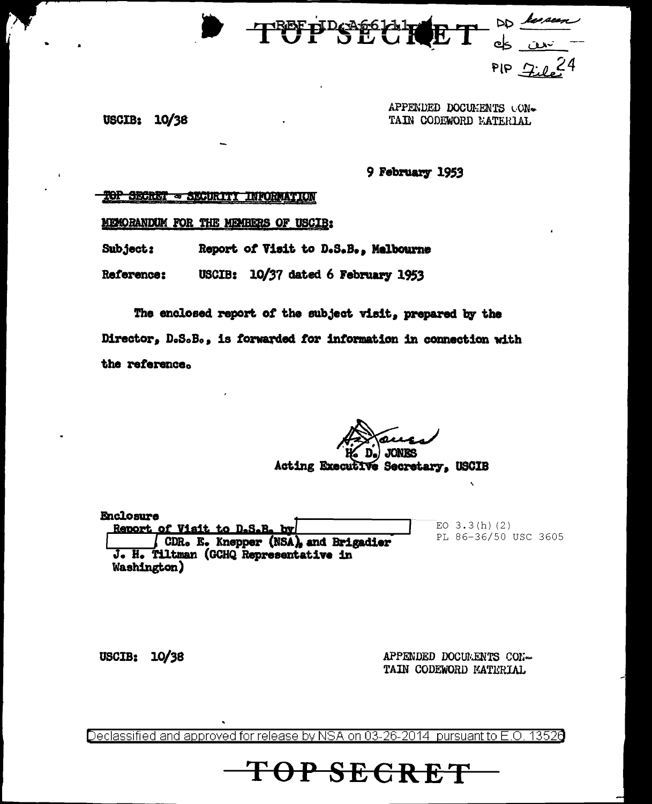

**USCIB: 10/38** 

APPENDED DOCUMENTS CON-TAIN CODEWORD EATERIAL

9 February 1953

## SECRET = SECURIT **INFORMATION**

MEMORANDUM FOR THE MEMBERS OF USCIB:

Subject: Report of Visit to D.S.B., Melbourne

USCIB: 10/37 dated 6 February 1953 Reference:

The enclosed report of the subject visit, prepared by the Director, D.S.B., is forwarded for information in connection with the reference.

Acting Executive Secretary, USCIB

**Enclosure** EO  $3.3(h)(2)$ Report of Visit to D.S.B. by PL 86-36/50 USC 3605 CDR. E. Knepper (NSA), and Brigadier J. H. Tiltman (GCHQ Representative in Washington)

USCIB: 10/38

APPENDED DOCUMENTS CON-TAIN CODEWORD MATERIAL

Declassified and approved for release by NSA on 03-26-2014 pursuant to E.O. 13526

OP SECRET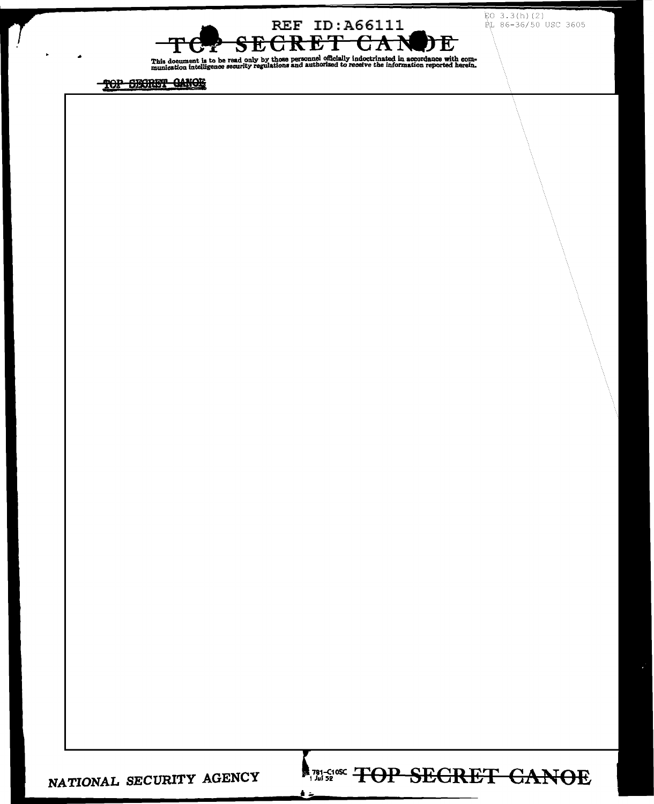$EO$  3.3(h)(2) PL 86-36/50 USC 3605

**RANGE TOP SECRET CANOE** 

ے ق



This document is to be read only by those personnel officially indoctrinated in accordance with com-<br>munication intelligence security regulations and authorized to receive the information reported herein.

TOP SECRET GANOE

NATIONAL SECURITY AGENCY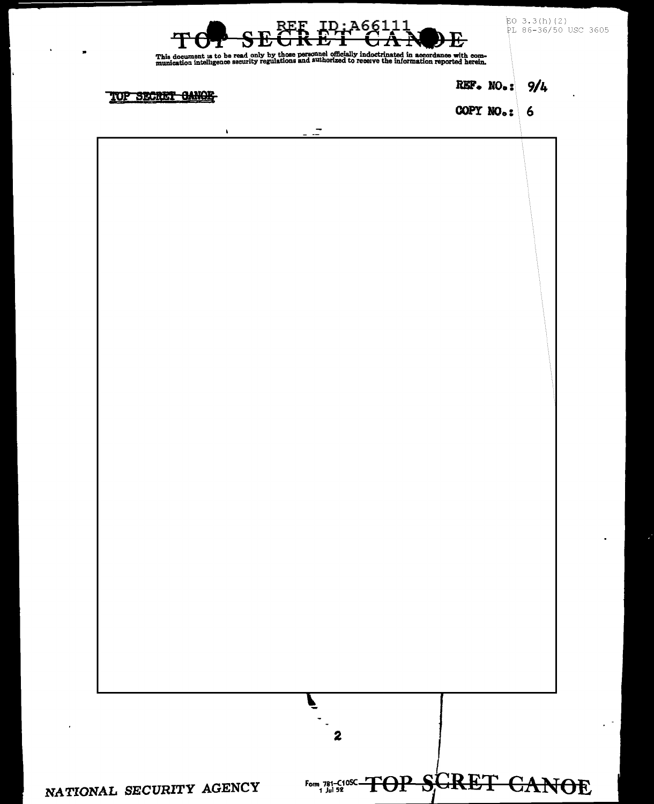| $\blacksquare$              | A661<br>Ŀ<br>This document is to be read only by those personnel officially indoctrinated in accordance with com-<br>munication intelligence security regulations and authorized to receive the information reported herein. |                 | $EO$ 3.3(h)(2)<br>PL 86-36/50 USC 3605 |
|-----------------------------|------------------------------------------------------------------------------------------------------------------------------------------------------------------------------------------------------------------------------|-----------------|----------------------------------------|
| TOP SECRET <del>CANOE</del> |                                                                                                                                                                                                                              | REF. NO.: $9/4$ | $\bullet$                              |
|                             |                                                                                                                                                                                                                              | COPY NO.: $6$   |                                        |
| ٠                           | -<br>$\sim$ 100 $\sim$                                                                                                                                                                                                       |                 |                                        |
|                             |                                                                                                                                                                                                                              |                 |                                        |
|                             |                                                                                                                                                                                                                              |                 |                                        |
|                             |                                                                                                                                                                                                                              |                 |                                        |
|                             |                                                                                                                                                                                                                              |                 |                                        |
|                             |                                                                                                                                                                                                                              |                 |                                        |
|                             |                                                                                                                                                                                                                              |                 |                                        |
|                             |                                                                                                                                                                                                                              |                 |                                        |
|                             |                                                                                                                                                                                                                              |                 |                                        |
|                             |                                                                                                                                                                                                                              |                 |                                        |
|                             |                                                                                                                                                                                                                              |                 |                                        |
|                             |                                                                                                                                                                                                                              |                 |                                        |
|                             |                                                                                                                                                                                                                              |                 |                                        |
|                             |                                                                                                                                                                                                                              |                 |                                        |
|                             |                                                                                                                                                                                                                              |                 |                                        |
|                             |                                                                                                                                                                                                                              |                 |                                        |
|                             |                                                                                                                                                                                                                              |                 |                                        |
|                             |                                                                                                                                                                                                                              |                 |                                        |
|                             |                                                                                                                                                                                                                              |                 |                                        |
|                             |                                                                                                                                                                                                                              |                 |                                        |
|                             |                                                                                                                                                                                                                              |                 |                                        |
|                             |                                                                                                                                                                                                                              |                 |                                        |
|                             | $\boldsymbol{2}$                                                                                                                                                                                                             |                 |                                        |
|                             |                                                                                                                                                                                                                              |                 |                                        |
| NATIONAL SECURITY AGENCY    | Form 781-C105C TOP SCRET CANOE                                                                                                                                                                                               |                 |                                        |

i.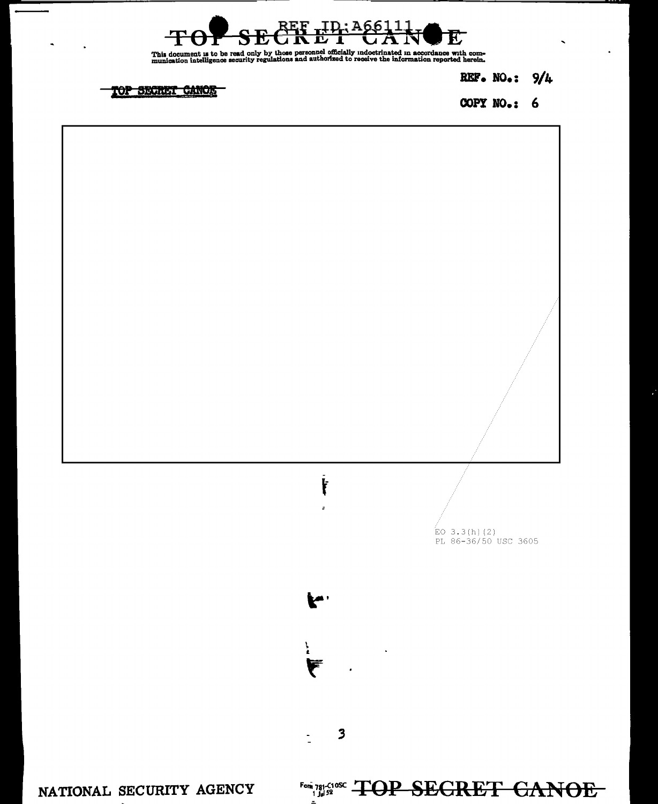

This document is to be read only by those personnel officially indoctrinated in accordance with com-<br>munication intelligence security regulations and authorized to receive the information reported herein.

REF. NO.:  $9/4$ 

TOP SECRET CANOR

COPY  $NO_{\bullet}$ : 6

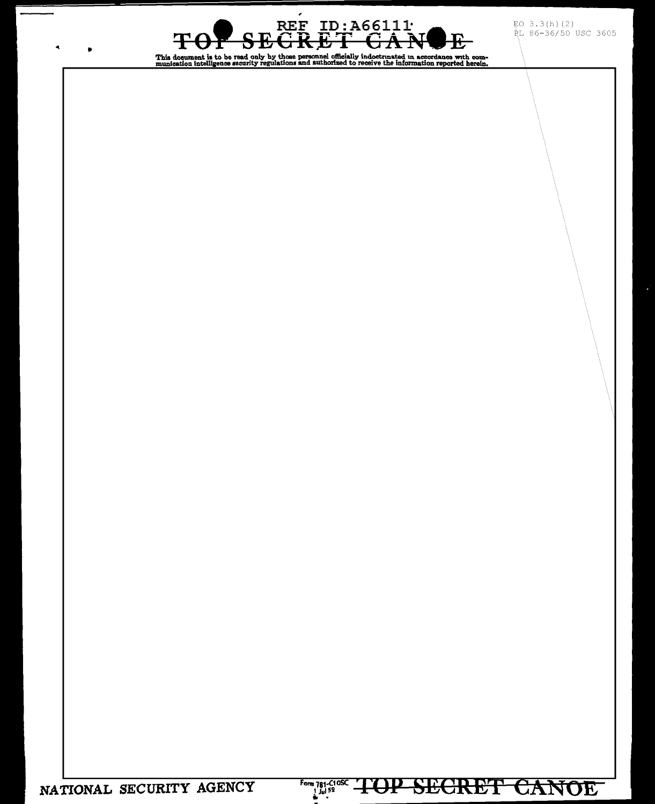EO 3.3(h)(2)<br>RL 86-36/50 USC 3605

Form 781-C108C TOP SECRET CANOE

REF ID: A66111 GAN <del>GRET</del> Ŧ  $\mathbf{E}% _{0}\left( t_{0}\right) =\mathbf{1}_{\left\{ X_{0}\right\} }^{T}=\mathbf{1}_{\left\{ X_{0}\right\} }^{T}=\mathbf{1}_{\left\{ X_{0}\right\} }^{T}=\mathbf{1}_{\left\{ X_{0}\right\} }^{T}=\mathbf{1}_{\left\{ X_{0}\right\} }^{T}=\mathbf{1}_{\left\{ X_{0}\right\} }^{T}=\mathbf{1}_{\left\{ X_{0}\right\} }^{T}=\mathbf{1}_{\left\{ X_{0}\right\} }^{T}=\mathbf{1}_{\left\{ X_{0}\right\} }^{T}=\mathbf{1}_{\left\{ X_{$ O ᠊ᡈᡃᡦ This document is to be read only by those personnel officially indoctrinated in accordance with com-<br>munication intelligence security regulations and authorized to receive the information reported herein.

 $\pmb{\cdot}$ 

NATIONAL SECURITY AGENCY

 $\blacktriangleleft$ 

 $\bullet$